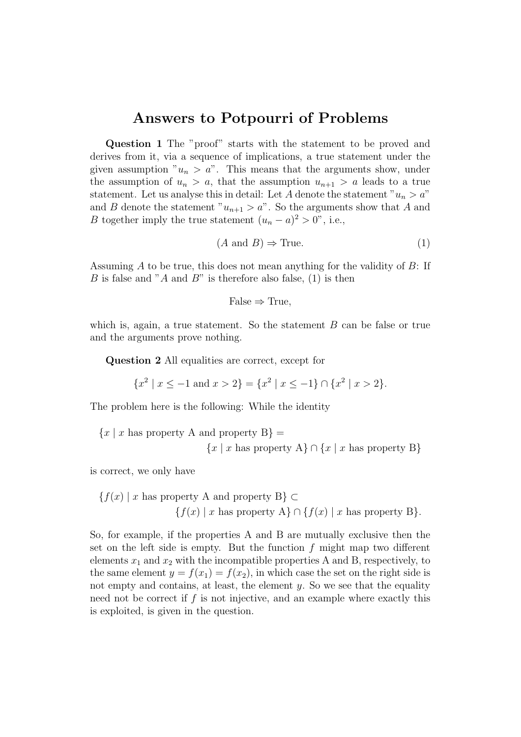# Answers to Potpourri of Problems

Question 1 The "proof" starts with the statement to be proved and derives from it, via a sequence of implications, a true statement under the given assumption " $u_n > a$ ". This means that the arguments show, under the assumption of  $u_n > a$ , that the assumption  $u_{n+1} > a$  leads to a true statement. Let us analyse this in detail: Let A denote the statement " $u_n > a$ " and B denote the statement " $u_{n+1} > a$ ". So the arguments show that A and *B* together imply the true statement  $(u_n - a)^2 > 0$ ", i.e.,

$$
(A \text{ and } B) \Rightarrow \text{True.} \tag{1}
$$

Assuming A to be true, this does not mean anything for the validity of B: If B is false and "A and  $B$ " is therefore also false, (1) is then

$$
False \Rightarrow True,
$$

which is, again, a true statement. So the statement  $B$  can be false or true and the arguments prove nothing.

Question 2 All equalities are correct, except for

$$
\{x^2 \mid x \le -1 \text{ and } x > 2\} = \{x^2 \mid x \le -1\} \cap \{x^2 \mid x > 2\}.
$$

The problem here is the following: While the identity

$$
\{x \mid x \text{ has property A and property B}\} =
$$

$$
\{x \mid x \text{ has property A}\} \cap \{x \mid x \text{ has property B}\}
$$

is correct, we only have

$$
\{f(x) \mid x \text{ has property A and property B}\} \subset
$$

$$
\{f(x) \mid x \text{ has property A}\} \cap \{f(x) \mid x \text{ has property B}\}.
$$

So, for example, if the properties A and B are mutually exclusive then the set on the left side is empty. But the function  $f$  might map two different elements  $x_1$  and  $x_2$  with the incompatible properties A and B, respectively, to the same element  $y = f(x_1) = f(x_2)$ , in which case the set on the right side is not empty and contains, at least, the element  $y$ . So we see that the equality need not be correct if  $f$  is not injective, and an example where exactly this is exploited, is given in the question.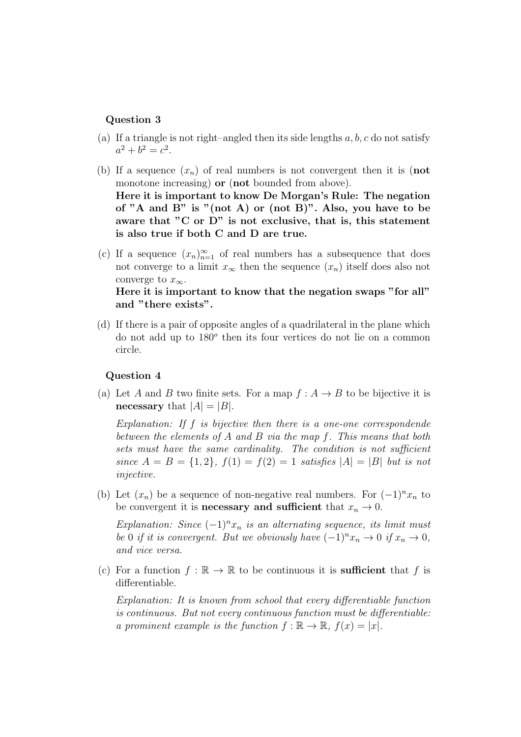### Question 3

- (a) If a triangle is not right–angled then its side lengths  $a, b, c$  do not satisfy  $a^2 + b^2 = c^2$ .
- (b) If a sequence  $(x_n)$  of real numbers is not convergent then it is (not monotone increasing) **or** (**not** bounded from above). Here it is important to know De Morgan's Rule: The negation of "A and B" is "(not A) or (not B)". Also, you have to be aware that "C or D" is not exclusive, that is, this statement is also true if both C and D are true.
- (c) If a sequence  $(x_n)_{n=1}^{\infty}$  of real numbers has a subsequence that does not converge to a limit  $x_{\infty}$  then the sequence  $(x_n)$  itself does also not converge to  $x_{\infty}$ .

## Here it is important to know that the negation swaps "for all" and "there exists".

(d) If there is a pair of opposite angles of a quadrilateral in the plane which do not add up to 180<sup>o</sup> then its four vertices do not lie on a common circle.

#### Question 4

(a) Let A and B two finite sets. For a map  $f : A \rightarrow B$  to be bijective it is necessary that  $|A| = |B|$ .

Explanation: If f is bijective then there is a one-one correspondende between the elements of A and B via the map f. This means that both sets must have the same cardinality. The condition is not sufficient since  $A = B = \{1, 2\}, f(1) = f(2) = 1$  satisfies  $|A| = |B|$  but is not injective.

(b) Let  $(x_n)$  be a sequence of non-negative real numbers. For  $(-1)^n x_n$  to be convergent it is **necessary and sufficient** that  $x_n \to 0$ .

Explanation: Since  $(-1)^n x_n$  is an alternating sequence, its limit must be 0 if it is convergent. But we obviously have  $(-1)^n x_n \to 0$  if  $x_n \to 0$ , and vice versa.

(c) For a function  $f : \mathbb{R} \to \mathbb{R}$  to be continuous it is **sufficient** that f is differentiable.

Explanation: It is known from school that every differentiable function is continuous. But not every continuous function must be differentiable: a prominent example is the function  $f : \mathbb{R} \to \mathbb{R}$ ,  $f(x) = |x|$ .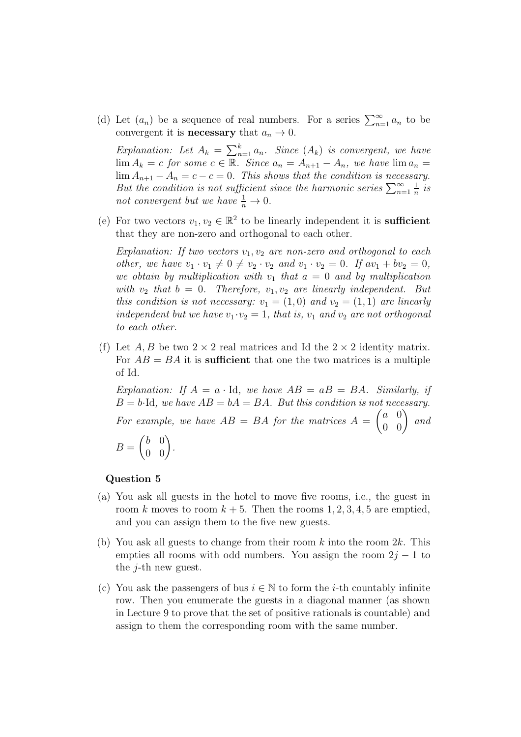(d) Let  $(a_n)$  be a sequence of real numbers. For a series  $\sum_{n=1}^{\infty} a_n$  to be convergent it is **necessary** that  $a_n \to 0$ .

Explanation: Let  $A_k = \sum_{n=1}^k a_n$ . Since  $(A_k)$  is convergent, we have  $\lim A_k = c$  for some  $c \in \mathbb{R}$ . Since  $a_n = A_{n+1} - A_n$ , we have  $\lim a_n =$  $\lim_{n \to \infty} A_{n+1} - A_n = c - c = 0$ . This shows that the condition is necessary. But the condition is not sufficient since the harmonic series  $\sum_{n=1}^{\infty}$ 1  $rac{1}{n}$  is not convergent but we have  $\frac{1}{n} \to 0$ .

(e) For two vectors  $v_1, v_2 \in \mathbb{R}^2$  to be linearly independent it is **sufficient** that they are non-zero and orthogonal to each other.

Explanation: If two vectors  $v_1, v_2$  are non-zero and orthogonal to each other, we have  $v_1 \cdot v_1 \neq 0 \neq v_2 \cdot v_2$  and  $v_1 \cdot v_2 = 0$ . If  $av_1 + bv_2 = 0$ , we obtain by multiplication with  $v_1$  that  $a = 0$  and by multiplication with  $v_2$  that  $b = 0$ . Therefore,  $v_1, v_2$  are linearly independent. But this condition is not necessary:  $v_1 = (1,0)$  and  $v_2 = (1,1)$  are linearly independent but we have  $v_1 \cdot v_2 = 1$ , that is,  $v_1$  and  $v_2$  are not orthogonal to each other.

(f) Let A, B be two  $2 \times 2$  real matrices and Id the  $2 \times 2$  identity matrix. For  $AB = BA$  it is sufficient that one the two matrices is a multiple of Id.

Explanation: If  $A = a \cdot Id$ , we have  $AB = aB = BA$ . Similarly, if  $B = b \cdot Id$ , we have  $AB = bA = BA$ . But this condition is not necessary. For example, we have  $AB = BA$  for the matrices  $A = \begin{pmatrix} a & 0 \\ 0 & 0 \end{pmatrix}$  and  $B =$  $\begin{pmatrix} b & 0 \\ 0 & 0 \end{pmatrix}$ .

#### Question 5

- (a) You ask all guests in the hotel to move five rooms, i.e., the guest in room k moves to room  $k + 5$ . Then the rooms 1, 2, 3, 4, 5 are emptied, and you can assign them to the five new guests.
- (b) You ask all guests to change from their room k into the room  $2k$ . This empties all rooms with odd numbers. You assign the room  $2j - 1$  to the  $j$ -th new guest.
- (c) You ask the passengers of bus  $i \in \mathbb{N}$  to form the *i*-th countably infinite row. Then you enumerate the guests in a diagonal manner (as shown in Lecture 9 to prove that the set of positive rationals is countable) and assign to them the corresponding room with the same number.